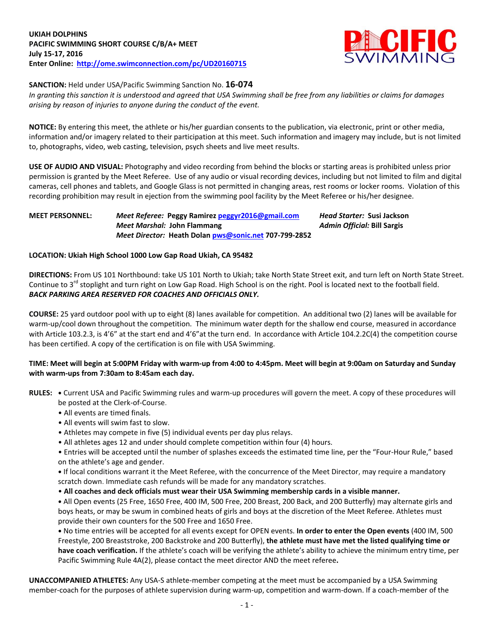

**SANCTION:** Held under USA/Pacific Swimming Sanction No. **16-074**

*In granting this sanction it is understood and agreed that USA Swimming shall be free from any liabilities or claims for damages arising by reason of injuries to anyone during the conduct of the event.*

**NOTICE:** By entering this meet, the athlete or his/her guardian consents to the publication, via electronic, print or other media, information and/or imagery related to their participation at this meet. Such information and imagery may include, but is not limited to, photographs, video, web casting, television, psych sheets and live meet results.

**USE OF AUDIO AND VISUAL:** Photography and video recording from behind the blocks or starting areas is prohibited unless prior permission is granted by the Meet Referee. Use of any audio or visual recording devices, including but not limited to film and digital cameras, cell phones and tablets, and Google Glass is not permitted in changing areas, rest rooms or locker rooms. Violation of this recording prohibition may result in ejection from the swimming pool facility by the Meet Referee or his/her designee.

### **MEET PERSONNEL:** *Meet Referee:* **Peggy Ramire[z peggyr2016@gmail.com](mailto:peggyr2016@gmail.com)** *Head Starter:* **Susi Jackson** *Meet Marshal:* **John Flammang** *Admin Official:* **Bill Sargis** *Meet Director:* **Heath Dola[n pws@sonic.net](mailto:pws@sonic.net) 707-799-2852**

## **LOCATION: Ukiah High School 1000 Low Gap Road Ukiah, CA 95482**

**DIRECTIONS:** From US 101 Northbound: take US 101 North to Ukiah; take North State Street exit, and turn left on North State Street. Continue to 3<sup>rd</sup> stoplight and turn right on Low Gap Road. High School is on the right. Pool is located next to the football field. *BACK PARKING AREA RESERVED FOR COACHES AND OFFICIALS ONLY.*

**COURSE:** 25 yard outdoor pool with up to eight (8) lanes available for competition. An additional two (2) lanes will be available for warm-up/cool down throughout the competition. The minimum water depth for the shallow end course, measured in accordance with Article 103.2.3, is 4'6" at the start end and 4'6" at the turn end. In accordance with Article 104.2.2C(4) the competition course has been certified. A copy of the certification is on file with USA Swimming.

## **TIME: Meet will begin at 5:00PM Friday with warm-up from 4:00 to 4:45pm. Meet will begin at 9:00am on Saturday and Sunday with warm-ups from 7:30am to 8:45am each day.**

- **RULES: •** Current USA and Pacific Swimming rules and warm-up procedures will govern the meet. A copy of these procedures will be posted at the Clerk-of-Course.
	- All events are timed finals.
	- All events will swim fast to slow.
	- Athletes may compete in five (5) individual events per day plus relays.
	- All athletes ages 12 and under should complete competition within four (4) hours.
	- Entries will be accepted until the number of splashes exceeds the estimated time line, per the "Four-Hour Rule," based on the athlete's age and gender.
	- **•** If local conditions warrant it the Meet Referee, with the concurrence of the Meet Director, may require a mandatory scratch down. Immediate cash refunds will be made for any mandatory scratches.
	- **All coaches and deck officials must wear their USA Swimming membership cards in a visible manner.**

**•** All Open events (25 Free, 1650 Free, 400 IM, 500 Free, 200 Breast, 200 Back, and 200 Butterfly) may alternate girls and boys heats, or may be swum in combined heats of girls and boys at the discretion of the Meet Referee. Athletes must provide their own counters for the 500 Free and 1650 Free.

**•** No time entries will be accepted for all events except for OPEN events. **In order to enter the Open events** (400 IM, 500 Freestyle, 200 Breaststroke, 200 Backstroke and 200 Butterfly), **the athlete must have met the listed qualifying time or have coach verification.** If the athlete's coach will be verifying the athlete's ability to achieve the minimum entry time, per Pacific Swimming Rule 4A(2), please contact the meet director AND the meet referee**.**

**UNACCOMPANIED ATHLETES:** Any USA-S athlete-member competing at the meet must be accompanied by a USA Swimming member-coach for the purposes of athlete supervision during warm-up, competition and warm-down. If a coach-member of the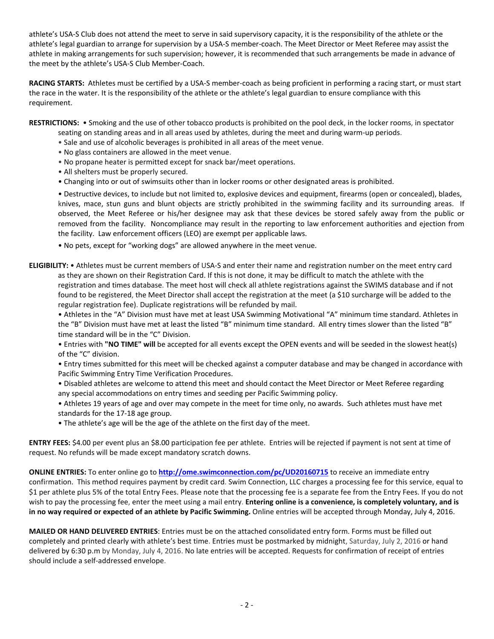athlete's USA-S Club does not attend the meet to serve in said supervisory capacity, it is the responsibility of the athlete or the athlete's legal guardian to arrange for supervision by a USA-S member-coach. The Meet Director or Meet Referee may assist the athlete in making arrangements for such supervision; however, it is recommended that such arrangements be made in advance of the meet by the athlete's USA-S Club Member-Coach.

**RACING STARTS:** Athletes must be certified by a USA-S member-coach as being proficient in performing a racing start, or must start the race in the water. It is the responsibility of the athlete or the athlete's legal guardian to ensure compliance with this requirement.

**RESTRICTIONS:** • Smoking and the use of other tobacco products is prohibited on the pool deck, in the locker rooms, in spectator

- seating on standing areas and in all areas used by athletes, during the meet and during warm-up periods.
- Sale and use of alcoholic beverages is prohibited in all areas of the meet venue.
- No glass containers are allowed in the meet venue.
- No propane heater is permitted except for snack bar/meet operations.
- All shelters must be properly secured.
- Changing into or out of swimsuits other than in locker rooms or other designated areas is prohibited.

• Destructive devices, to include but not limited to, explosive devices and equipment, firearms (open or concealed), blades, knives, mace, stun guns and blunt objects are strictly prohibited in the swimming facility and its surrounding areas. If observed, the Meet Referee or his/her designee may ask that these devices be stored safely away from the public or removed from the facility. Noncompliance may result in the reporting to law enforcement authorities and ejection from the facility. Law enforcement officers (LEO) are exempt per applicable laws.

• No pets, except for "working dogs" are allowed anywhere in the meet venue.

**ELIGIBILITY:** • Athletes must be current members of USA-S and enter their name and registration number on the meet entry card as they are shown on their Registration Card. If this is not done, it may be difficult to match the athlete with the registration and times database. The meet host will check all athlete registrations against the SWIMS database and if not found to be registered, the Meet Director shall accept the registration at the meet (a \$10 surcharge will be added to the regular registration fee). Duplicate registrations will be refunded by mail.

• Athletes in the "A" Division must have met at least USA Swimming Motivational "A" minimum time standard. Athletes in the "B" Division must have met at least the listed "B" minimum time standard. All entry times slower than the listed "B" time standard will be in the "C" Division.

• Entries with **"NO TIME" will** be accepted for all events except the OPEN events and will be seeded in the slowest heat(s) of the "C" division.

• Entry times submitted for this meet will be checked against a computer database and may be changed in accordance with Pacific Swimming Entry Time Verification Procedures.

• Disabled athletes are welcome to attend this meet and should contact the Meet Director or Meet Referee regarding any special accommodations on entry times and seeding per Pacific Swimming policy.

• Athletes 19 years of age and over may compete in the meet for time only, no awards. Such athletes must have met standards for the 17-18 age group.

• The athlete's age will be the age of the athlete on the first day of the meet.

**ENTRY FEES:** \$4.00 per event plus an \$8.00 participation fee per athlete. Entries will be rejected if payment is not sent at time of request. No refunds will be made except mandatory scratch downs.

**ONLINE ENTRIES:** To enter online go to **<http://ome.swimconnection.com/pc/UD20160715>** to receive an immediate entry confirmation. This method requires payment by credit card. Swim Connection, LLC charges a processing fee for this service, equal to \$1 per athlete plus 5% of the total Entry Fees. Please note that the processing fee is a separate fee from the Entry Fees. If you do not wish to pay the processing fee, enter the meet using a mail entry. **Entering online is a convenience, is completely voluntary, and is in no way required or expected of an athlete by Pacific Swimming.** Online entries will be accepted through Monday, July 4, 2016.

**MAILED OR HAND DELIVERED ENTRIES**: Entries must be on the attached consolidated entry form. Forms must be filled out completely and printed clearly with athlete's best time. Entries must be postmarked by midnight, Saturday, July 2, 2016 or hand delivered by 6:30 p.m by Monday, July 4, 2016. No late entries will be accepted. Requests for confirmation of receipt of entries should include a self-addressed envelope.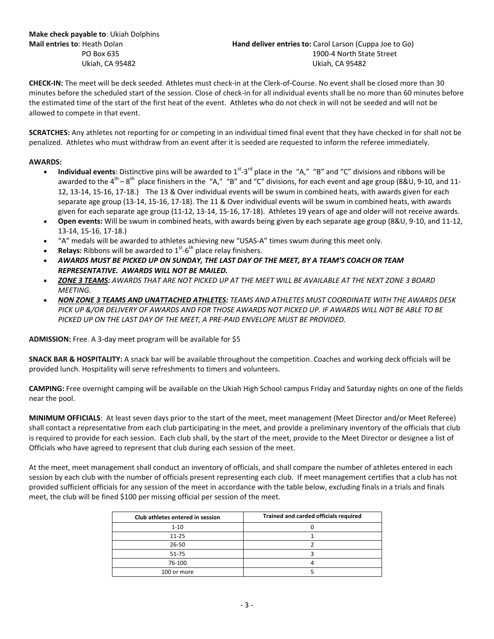**CHECK-IN:** The meet will be deck seeded. Athletes must check-in at the Clerk-of-Course. No event shall be closed more than 30 minutes before the scheduled start of the session. Close of check-in for all individual events shall be no more than 60 minutes before the estimated time of the start of the first heat of the event. Athletes who do not check in will not be seeded and will not be allowed to compete in that event.

**SCRATCHES:** Any athletes not reporting for or competing in an individual timed final event that they have checked in for shall not be penalized. Athletes who must withdraw from an event after it is seeded are requested to inform the referee immediately.

## **AWARDS:**

- **Individual events**: Distinctive pins will be awarded to 1<sup>st</sup>-3<sup>rd</sup> place in the "A," "B" and "C" divisions and ribbons will be awarded to the 4<sup>th</sup> – 8<sup>th</sup> place finishers in the "A," "B" and "C" divisions, for each event and age group (8&U, 9-10, and 11-12, 13-14, 15-16, 17-18.) The 13 & Over individual events will be swum in combined heats, with awards given for each separate age group (13-14, 15-16, 17-18). The 11 & Over individual events will be swum in combined heats, with awards given for each separate age group (11-12, 13-14, 15-16, 17-18). Athletes 19 years of age and older will not receive awards.
- **Open events:** Will be swum in combined heats, with awards being given by each separate age group (8&U, 9-10, and 11-12, 13-14, 15-16, 17-18.)
- "A" medals will be awarded to athletes achieving new "USAS-A" times swum during this meet only.
- **Relays:** Ribbons will be awarded to 1<sup>st</sup>-6<sup>th</sup> place relay finishers.
- *AWARDS MUST BE PICKED UP ON SUNDAY, THE LAST DAY OF THE MEET, BY A TEAM'S COACH OR TEAM REPRESENTATIVE. AWARDS WILL NOT BE MAILED.*
- *ZONE 3 TEAMS: AWARDS THAT ARE NOT PICKED UP AT THE MEET WILL BE AVAILABLE AT THE NEXT ZONE 3 BOARD MEETING.*
- *NON ZONE 3 TEAMS AND UNATTACHED ATHLETES: TEAMS AND ATHLETES MUST COORDINATE WITH THE AWARDS DESK PICK UP &/OR DELIVERY OF AWARDS AND FOR THOSE AWARDS NOT PICKED UP. IF AWARDS WILL NOT BE ABLE TO BE PICKED UP ON THE LAST DAY OF THE MEET, A PRE-PAID ENVELOPE MUST BE PROVIDED.*

**ADMISSION:** Free. A 3-day meet program will be available for \$5

**SNACK BAR & HOSPITALITY:** A snack bar will be available throughout the competition. Coaches and working deck officials will be provided lunch. Hospitality will serve refreshments to timers and volunteers.

**CAMPING:** Free overnight camping will be available on the Ukiah High School campus Friday and Saturday nights on one of the fields near the pool.

**MINIMUM OFFICIALS**: At least seven days prior to the start of the meet, meet management (Meet Director and/or Meet Referee) shall contact a representative from each club participating in the meet, and provide a preliminary inventory of the officials that club is required to provide for each session. Each club shall, by the start of the meet, provide to the Meet Director or designee a list of Officials who have agreed to represent that club during each session of the meet.

At the meet, meet management shall conduct an inventory of officials, and shall compare the number of athletes entered in each session by each club with the number of officials present representing each club. If meet management certifies that a club has not provided sufficient officials for any session of the meet in accordance with the table below, excluding finals in a trials and finals meet, the club will be fined \$100 per missing official per session of the meet.

| Club athletes entered in session | Trained and carded officials required |
|----------------------------------|---------------------------------------|
| $1 - 10$                         |                                       |
| $11 - 25$                        |                                       |
| $26 - 50$                        |                                       |
| $51 - 75$                        |                                       |
| 76-100                           |                                       |
| 100 or more                      |                                       |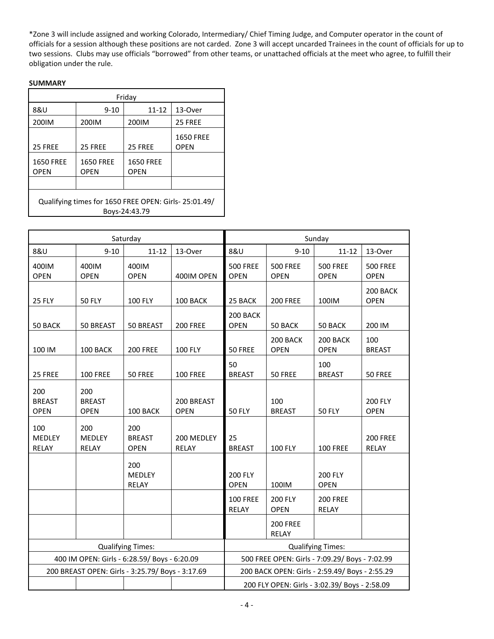\*Zone 3 will include assigned and working Colorado, Intermediary/ Chief Timing Judge, and Computer operator in the count of officials for a session although these positions are not carded. Zone 3 will accept uncarded Trainees in the count of officials for up to two sessions. Clubs may use officials "borrowed" from other teams, or unattached officials at the meet who agree, to fulfill their obligation under the rule.

# **SUMMARY**

| Friday                                                                 |                          |                                 |                          |  |  |  |  |  |  |
|------------------------------------------------------------------------|--------------------------|---------------------------------|--------------------------|--|--|--|--|--|--|
| 8&U                                                                    | $9 - 10$                 | $11 - 12$                       | 13-Over                  |  |  |  |  |  |  |
| 200IM                                                                  | 200IM                    | 200IM                           | 25 FREE                  |  |  |  |  |  |  |
| 25 FREE                                                                | 25 FREE                  | 25 FREE                         | <b>1650 FREE</b><br>OPEN |  |  |  |  |  |  |
| <b>1650 FREE</b><br><b>OPEN</b>                                        | <b>1650 FREE</b><br>OPEN | <b>1650 FREE</b><br><b>OPEN</b> |                          |  |  |  |  |  |  |
|                                                                        |                          |                                 |                          |  |  |  |  |  |  |
| Qualifying times for 1650 FREE OPEN: Girls- 25:01.49/<br>Boys-24:43.79 |                          |                                 |                          |  |  |  |  |  |  |

|                                                  |                                     | Saturday                                       |                                                | Sunday                                        |                                |                                 |                                |  |  |
|--------------------------------------------------|-------------------------------------|------------------------------------------------|------------------------------------------------|-----------------------------------------------|--------------------------------|---------------------------------|--------------------------------|--|--|
| 8&U                                              | $9 - 10$                            | $11 - 12$                                      | 13-Over                                        | 8&U                                           | $9 - 10$                       | $11 - 12$                       | 13-Over                        |  |  |
| 400IM<br><b>OPEN</b>                             | 400IM<br><b>OPEN</b>                | 400IM<br><b>OPEN</b>                           | 400IM OPEN                                     | <b>500 FREE</b><br><b>OPEN</b>                | <b>500 FREE</b><br><b>OPEN</b> | <b>500 FREE</b><br><b>OPEN</b>  | <b>500 FREE</b><br><b>OPEN</b> |  |  |
| 25 FLY                                           | <b>50 FLY</b>                       | 100 FLY                                        | 100 BACK                                       | 25 BACK                                       | <b>200 FREE</b>                | 100IM                           | 200 BACK<br><b>OPEN</b>        |  |  |
| 50 BACK                                          | 50 BREAST                           | 50 BREAST                                      | <b>200 FREE</b>                                | 200 BACK<br><b>OPEN</b>                       | 50 BACK                        | 50 BACK                         | 200 IM                         |  |  |
| 100 IM                                           | 100 BACK                            | <b>200 FREE</b>                                | <b>100 FLY</b>                                 | 50 FREE                                       | 200 BACK<br><b>OPEN</b>        | 200 BACK<br><b>OPEN</b>         | 100<br><b>BREAST</b>           |  |  |
| 25 FREE                                          | <b>100 FREE</b>                     | 50 FREE                                        | <b>100 FREE</b>                                | 50<br><b>BREAST</b>                           | 50 FREE                        | 100<br><b>BREAST</b>            | 50 FREE                        |  |  |
| 200<br><b>BREAST</b><br><b>OPEN</b>              | 200<br><b>BREAST</b><br><b>OPEN</b> | 100 BACK                                       | 200 BREAST<br><b>OPEN</b>                      | <b>50 FLY</b>                                 | 100<br><b>BREAST</b>           | <b>50 FLY</b>                   | 200 FLY<br><b>OPEN</b>         |  |  |
| 100<br>MEDLEY<br>RELAY                           | 200<br>MEDLEY<br>RELAY              | 200<br><b>BREAST</b><br><b>OPEN</b>            | 200 MEDLEY<br>RELAY                            | 25<br><b>BREAST</b>                           | 100 FLY                        | <b>100 FREE</b>                 | <b>200 FREE</b><br>RELAY       |  |  |
|                                                  |                                     | 200<br><b>MEDLEY</b><br>RELAY                  |                                                | 200 FLY<br><b>OPEN</b>                        | 100IM                          | 200 FLY<br><b>OPEN</b>          |                                |  |  |
|                                                  |                                     |                                                |                                                | <b>100 FREE</b><br><b>RELAY</b>               | 200 FLY<br><b>OPEN</b>         | <b>200 FREE</b><br><b>RELAY</b> |                                |  |  |
|                                                  |                                     |                                                |                                                |                                               | <b>200 FREE</b><br>RELAY       |                                 |                                |  |  |
| <b>Qualifying Times:</b>                         |                                     |                                                |                                                | <b>Qualifying Times:</b>                      |                                |                                 |                                |  |  |
| 400 IM OPEN: Girls - 6:28.59/ Boys - 6:20.09     |                                     |                                                | 500 FREE OPEN: Girls - 7:09.29/ Boys - 7:02.99 |                                               |                                |                                 |                                |  |  |
| 200 BREAST OPEN: Girls - 3:25.79/ Boys - 3:17.69 |                                     | 200 BACK OPEN: Girls - 2:59.49/ Boys - 2:55.29 |                                                |                                               |                                |                                 |                                |  |  |
|                                                  |                                     |                                                |                                                | 200 FLY OPEN: Girls - 3:02.39/ Boys - 2:58.09 |                                |                                 |                                |  |  |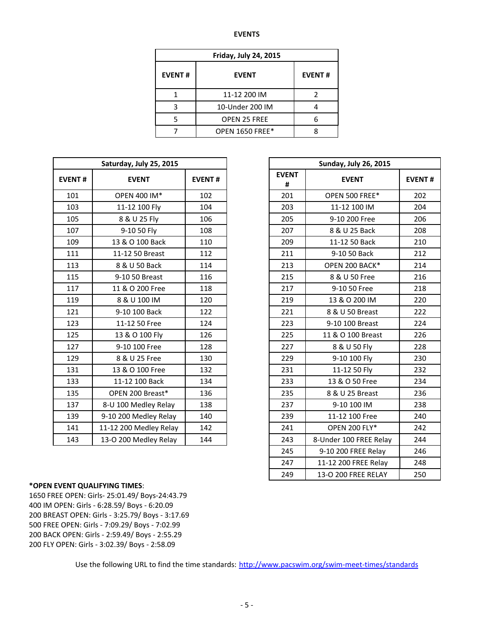#### **EVENTS**

| <b>Friday, July 24, 2015</b>  |                        |               |  |  |  |  |  |
|-------------------------------|------------------------|---------------|--|--|--|--|--|
| <b>EVENT#</b><br><b>EVENT</b> |                        | <b>EVENT#</b> |  |  |  |  |  |
|                               | 11-12 200 IM           |               |  |  |  |  |  |
| ς                             | 10-Under 200 IM        |               |  |  |  |  |  |
|                               | <b>OPEN 25 FREE</b>    | հ             |  |  |  |  |  |
|                               | <b>OPEN 1650 FREE*</b> |               |  |  |  |  |  |

|               | Saturday, July 25, 2015 |               |                   | <b>Sunday, July 26, 2015</b> |  |  |  |  |
|---------------|-------------------------|---------------|-------------------|------------------------------|--|--|--|--|
| <b>EVENT#</b> | <b>EVENT</b>            | <b>EVENT#</b> | <b>EVENT</b><br># | <b>EVENT</b>                 |  |  |  |  |
| 101           | OPEN 400 IM*            | 102           | 201               | OPEN 500 FREE*               |  |  |  |  |
| 103           | 11-12 100 Fly           | 104           | 203               | 11-12 100 IM                 |  |  |  |  |
| 105           | 8 & U 25 Fly            | 106           | 205               | 9-10 200 Free                |  |  |  |  |
| 107           | 9-10 50 Fly             | 108           | 207               | 8 & U 25 Back                |  |  |  |  |
| 109           | 13 & O 100 Back         | 110           | 209               | 11-12 50 Back                |  |  |  |  |
| 111           | 11-12 50 Breast         | 112           | 211               | 9-10 50 Back                 |  |  |  |  |
| 113           | 8 & U 50 Back           | 114           | 213               | OPEN 200 BACK*               |  |  |  |  |
| 115           | 9-10 50 Breast          | 116           | 215               | 8 & U 50 Free                |  |  |  |  |
| 117           | 11 & O 200 Free         | 118           | 217               | 9-10 50 Free                 |  |  |  |  |
| 119           | 8 & U 100 IM            | 120           | 219               | 13 & O 200 IM                |  |  |  |  |
| 121           | 9-10 100 Back           | 122           | 221               | 8 & U 50 Breast              |  |  |  |  |
| 123           | 11-12 50 Free           | 124           | 223               | 9-10 100 Breast              |  |  |  |  |
| 125           | 13 & O 100 Fly          | 126           | 225               | 11 & O 100 Breast            |  |  |  |  |
| 127           | 9-10 100 Free           | 128           | 227               | 8 & U 50 Fly                 |  |  |  |  |
| 129           | 8 & U 25 Free           | 130           | 229               | 9-10 100 Fly                 |  |  |  |  |
| 131           | 13 & O 100 Free         | 132           | 231               | 11-12 50 Fly                 |  |  |  |  |
| 133           | 11-12 100 Back          | 134           | 233               | 13 & O 50 Free               |  |  |  |  |
| 135           | OPEN 200 Breast*        | 136           | 235               | 8 & U 25 Breast              |  |  |  |  |
| 137           | 8-U 100 Medley Relay    | 138           | 237               | 9-10 100 IM                  |  |  |  |  |
| 139           | 9-10 200 Medley Relay   | 140           | 239               | 11-12 100 Free               |  |  |  |  |
| 141           | 11-12 200 Medley Relay  | 142           | 241               | <b>OPEN 200 FLY*</b>         |  |  |  |  |
| 143           | 13-O 200 Medley Relay   | 144           | 243               | 8-Under 100 FREE Relay       |  |  |  |  |

| <b>Sunday, July 26, 2015</b> |                        |               |  |  |  |  |  |  |
|------------------------------|------------------------|---------------|--|--|--|--|--|--|
| <b>EVENT</b><br>#            | <b>EVENT</b>           | <b>EVENT#</b> |  |  |  |  |  |  |
| 201                          | OPEN 500 FREE*         | 202           |  |  |  |  |  |  |
| 203                          | 11-12 100 IM           | 204           |  |  |  |  |  |  |
| 205                          | 9-10 200 Free          | 206           |  |  |  |  |  |  |
| 207                          | 8 & U 25 Back          | 208           |  |  |  |  |  |  |
| 209                          | 11-12 50 Back          | 210           |  |  |  |  |  |  |
| 211                          | 9-10 50 Back           | 212           |  |  |  |  |  |  |
| 213                          | OPEN 200 BACK*         | 214           |  |  |  |  |  |  |
| 215                          | 8 & U 50 Free          | 216           |  |  |  |  |  |  |
| 217                          | 9-10 50 Free           | 218           |  |  |  |  |  |  |
| 219                          | 13 & O 200 IM          | 220           |  |  |  |  |  |  |
| 221                          | 8 & U 50 Breast        | 222           |  |  |  |  |  |  |
| 223                          | 9-10 100 Breast        | 224           |  |  |  |  |  |  |
| 225                          | 11 & O 100 Breast      | 226           |  |  |  |  |  |  |
| 227                          | 8 & U 50 Fly           | 228           |  |  |  |  |  |  |
| 229                          | 9-10 100 Fly           | 230           |  |  |  |  |  |  |
| 231                          | 11-12 50 Fly           | 232           |  |  |  |  |  |  |
| 233                          | 13 & O 50 Free         | 234           |  |  |  |  |  |  |
| 235                          | 8 & U 25 Breast        | 236           |  |  |  |  |  |  |
| 237                          | 9-10 100 IM            | 238           |  |  |  |  |  |  |
| 239                          | 11-12 100 Free         | 240           |  |  |  |  |  |  |
| 241                          | <b>OPEN 200 FLY*</b>   | 242           |  |  |  |  |  |  |
| 243                          | 8-Under 100 FREE Relay | 244           |  |  |  |  |  |  |
| 245                          | 9-10 200 FREE Relay    | 246           |  |  |  |  |  |  |
| 247                          | 11-12 200 FREE Relay   | 248           |  |  |  |  |  |  |
| 249                          | 13-O 200 FREE RELAY    | 250           |  |  |  |  |  |  |

## **\*OPEN EVENT QUALIFYING TIMES**:

1650 FREE OPEN: Girls- 25:01.49/ Boys-24:43.79 IM OPEN: Girls - 6:28.59/ Boys - 6:20.09 200 BREAST OPEN: Girls - 3:25.79/ Boys - 3:17.69 500 FREE OPEN: Girls - 7:09.29/ Boys - 7:02.99 200 BACK OPEN: Girls - 2:59.49/ Boys - 2:55.29 200 FLY OPEN: Girls - 3:02.39/ Boys - 2:58.09

Use the following URL to find the time standards: <http://www.pacswim.org/swim-meet-times/standards>